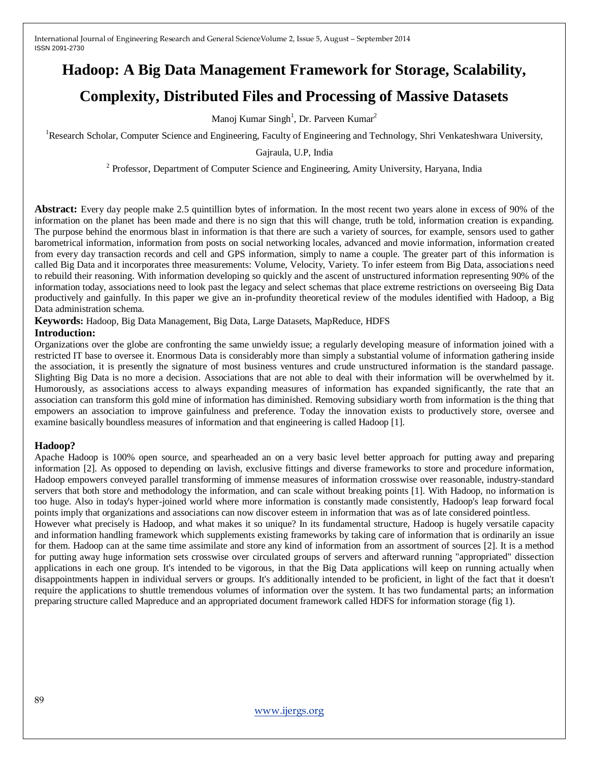# **Hadoop: A Big Data Management Framework for Storage, Scalability,**

# **Complexity, Distributed Files and Processing of Massive Datasets**

Manoj Kumar Singh<sup>1</sup>, Dr. Parveen Kumar<sup>2</sup>

<sup>1</sup>Research Scholar, Computer Science and Engineering, Faculty of Engineering and Technology, Shri Venkateshwara University,

### Gajraula, U.P, India

<sup>2</sup> Professor, Department of Computer Science and Engineering, Amity University, Haryana, India

**Abstract:** Every day people make 2.5 quintillion bytes of information. In the most recent two years alone in excess of 90% of the information on the planet has been made and there is no sign that this will change, truth be told, information creation is expanding. The purpose behind the enormous blast in information is that there are such a variety of sources, for example, sensors used to gather barometrical information, information from posts on social networking locales, advanced and movie information, information created from every day transaction records and cell and GPS information, simply to name a couple. The greater part of this information is called Big Data and it incorporates three measurements: Volume, Velocity, Variety. To infer esteem from Big Data, associations need to rebuild their reasoning. With information developing so quickly and the ascent of unstructured information representing 90% of the information today, associations need to look past the legacy and select schemas that place extreme restrictions on overseeing Big Data productively and gainfully. In this paper we give an in-profundity theoretical review of the modules identified with Hadoop, a Big Data administration schema.

**Keywords:** Hadoop, Big Data Management, Big Data, Large Datasets, MapReduce, HDFS

### **Introduction:**

Organizations over the globe are confronting the same unwieldy issue; a regularly developing measure of information joined with a restricted IT base to oversee it. Enormous Data is considerably more than simply a substantial volume of information gathering inside the association, it is presently the signature of most business ventures and crude unstructured information is the standard passage. Slighting Big Data is no more a decision. Associations that are not able to deal with their information will be overwhelmed by it. Humorously, as associations access to always expanding measures of information has expanded significantly, the rate that an association can transform this gold mine of information has diminished. Removing subsidiary worth from information is the thing that empowers an association to improve gainfulness and preference. Today the innovation exists to productively store, oversee and examine basically boundless measures of information and that engineering is called Hadoop [1].

# **Hadoop?**

Apache Hadoop is 100% open source, and spearheaded an on a very basic level better approach for putting away and preparing information [2]. As opposed to depending on lavish, exclusive fittings and diverse frameworks to store and procedure information, Hadoop empowers conveyed parallel transforming of immense measures of information crosswise over reasonable, industry-standard servers that both store and methodology the information, and can scale without breaking points [1]. With Hadoop, no information is too huge. Also in today's hyper-joined world where more information is constantly made consistently, Hadoop's leap forward focal points imply that organizations and associations can now discover esteem in information that was as of late considered pointless.

However what precisely is Hadoop, and what makes it so unique? In its fundamental structure, Hadoop is hugely versatile capacity and information handling framework which supplements existing frameworks by taking care of information that is ordinarily an issue for them. Hadoop can at the same time assimilate and store any kind of information from an assortment of sources [2]. It is a method for putting away huge information sets crosswise over circulated groups of servers and afterward running "appropriated" dissection applications in each one group. It's intended to be vigorous, in that the Big Data applications will keep on running actually when disappointments happen in individual servers or groups. It's additionally intended to be proficient, in light of the fact that it doesn't require the applications to shuttle tremendous volumes of information over the system. It has two fundamental parts; an information preparing structure called Mapreduce and an appropriated document framework called HDFS for information storage (fig 1).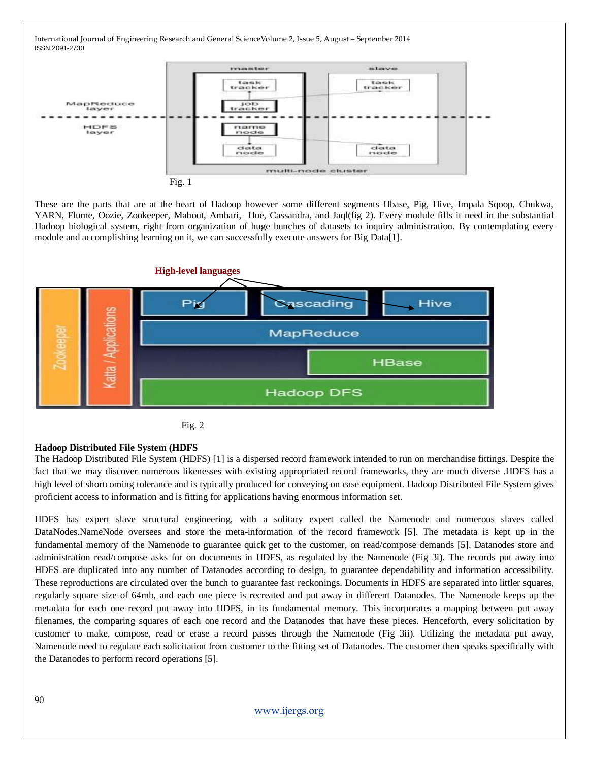

These are the parts that are at the heart of Hadoop however some different segments Hbase, Pig, Hive, Impala Sqoop, Chukwa, YARN, Flume, Oozie, Zookeeper, Mahout, Ambari, Hue, Cassandra, and Jaql(fig 2). Every module fills it need in the substantial Hadoop biological system, right from organization of huge bunches of datasets to inquiry administration. By contemplating every module and accomplishing learning on it, we can successfully execute answers for Big Data[1].





### **Hadoop Distributed File System (HDFS**

The Hadoop Distributed File System (HDFS) [1] is a dispersed record framework intended to run on merchandise fittings. Despite the fact that we may discover numerous likenesses with existing appropriated record frameworks, they are much diverse .HDFS has a high level of shortcoming tolerance and is typically produced for conveying on ease equipment. Hadoop Distributed File System gives proficient access to information and is fitting for applications having enormous information set.

HDFS has expert slave structural engineering, with a solitary expert called the Namenode and numerous slaves called DataNodes.NameNode oversees and store the meta-information of the record framework [5]. The metadata is kept up in the fundamental memory of the Namenode to guarantee quick get to the customer, on read/compose demands [5]. Datanodes store and administration read/compose asks for on documents in HDFS, as regulated by the Namenode (Fig 3i). The records put away into HDFS are duplicated into any number of Datanodes according to design, to guarantee dependability and information accessibility. These reproductions are circulated over the bunch to guarantee fast reckonings. Documents in HDFS are separated into littler squares, regularly square size of 64mb, and each one piece is recreated and put away in different Datanodes. The Namenode keeps up the metadata for each one record put away into HDFS, in its fundamental memory. This incorporates a mapping between put away filenames, the comparing squares of each one record and the Datanodes that have these pieces. Henceforth, every solicitation by customer to make, compose, read or erase a record passes through the Namenode (Fig 3ii). Utilizing the metadata put away, Namenode need to regulate each solicitation from customer to the fitting set of Datanodes. The customer then speaks specifically with the Datanodes to perform record operations [5].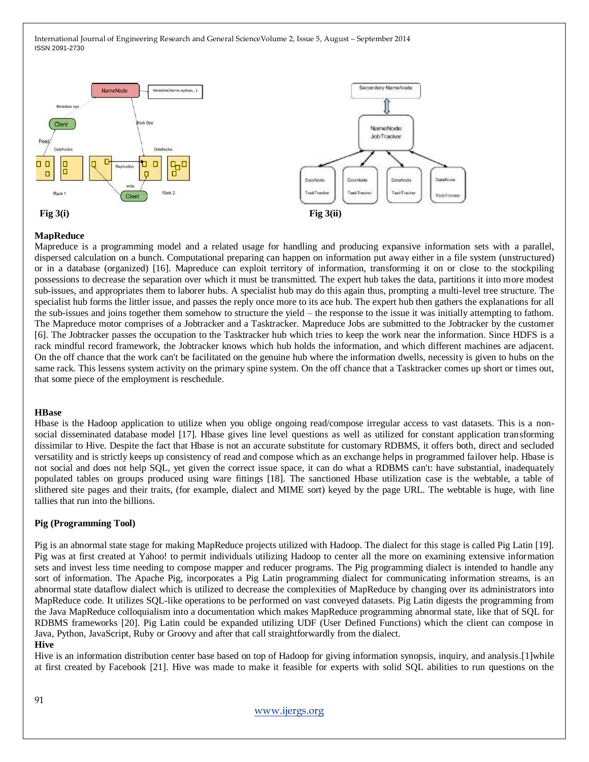

#### **MapReduce**

Mapreduce is a programming model and a related usage for handling and producing expansive information sets with a parallel, dispersed calculation on a bunch. Computational preparing can happen on information put away either in a file system (unstructured) or in a database (organized) [16]. Mapreduce can exploit territory of information, transforming it on or close to the stockpiling possessions to decrease the separation over which it must be transmitted. The expert hub takes the data, partitions it into more modest sub-issues, and appropriates them to laborer hubs. A specialist hub may do this again thus, prompting a multi-level tree structure. The specialist hub forms the littler issue, and passes the reply once more to its ace hub. The expert hub then gathers the explanations for all the sub-issues and joins together them somehow to structure the yield – the response to the issue it was initially attempting to fathom. The Mapreduce motor comprises of a Jobtracker and a Tasktracker. Mapreduce Jobs are submitted to the Jobtracker by the customer [6]. The Jobtracker passes the occupation to the Tasktracker hub which tries to keep the work near the information. Since HDFS is a rack mindful record framework, the Jobtracker knows which hub holds the information, and which different machines are adjacent. On the off chance that the work can't be facilitated on the genuine hub where the information dwells, necessity is given to hubs on the same rack. This lessens system activity on the primary spine system. On the off chance that a Tasktracker comes up short or times out, that some piece of the employment is reschedule.

#### **HBase**

Hbase is the Hadoop application to utilize when you oblige ongoing read/compose irregular access to vast datasets. This is a nonsocial disseminated database model [17]. Hbase gives line level questions as well as utilized for constant application transforming dissimilar to Hive. Despite the fact that Hbase is not an accurate substitute for customary RDBMS, it offers both, direct and secluded versatility and is strictly keeps up consistency of read and compose which as an exchange helps in programmed failover help. Hbase is not social and does not help SQL, yet given the correct issue space, it can do what a RDBMS can't: have substantial, inadequately populated tables on groups produced using ware fittings [18]. The sanctioned Hbase utilization case is the webtable, a table of slithered site pages and their traits, (for example, dialect and MIME sort) keyed by the page URL. The webtable is huge, with line tallies that run into the billions.

#### **Pig (Programming Tool)**

Pig is an abnormal state stage for making MapReduce projects utilized with Hadoop. The dialect for this stage is called Pig Latin [19]. Pig was at first created at Yahoo! to permit individuals utilizing Hadoop to center all the more on examining extensive information sets and invest less time needing to compose mapper and reducer programs. The Pig programming dialect is intended to handle any sort of information. The Apache Pig, incorporates a Pig Latin programming dialect for communicating information streams, is an abnormal state dataflow dialect which is utilized to decrease the complexities of MapReduce by changing over its administrators into MapReduce code. It utilizes SQL-like operations to be performed on vast conveyed datasets. Pig Latin digests the programming from the Java MapReduce colloquialism into a documentation which makes MapReduce programming abnormal state, like that of SQL for RDBMS frameworks [20]. Pig Latin could be expanded utilizing UDF (User Defined Functions) which the client can compose in Java, Python, JavaScript, Ruby or Groovy and after that call straightforwardly from the dialect.

#### **Hive**

Hive is an information distribution center base based on top of Hadoop for giving information synopsis, inquiry, and analysis.[1]while at first created by Facebook [21]. Hive was made to make it feasible for experts with solid SQL abilities to run questions on the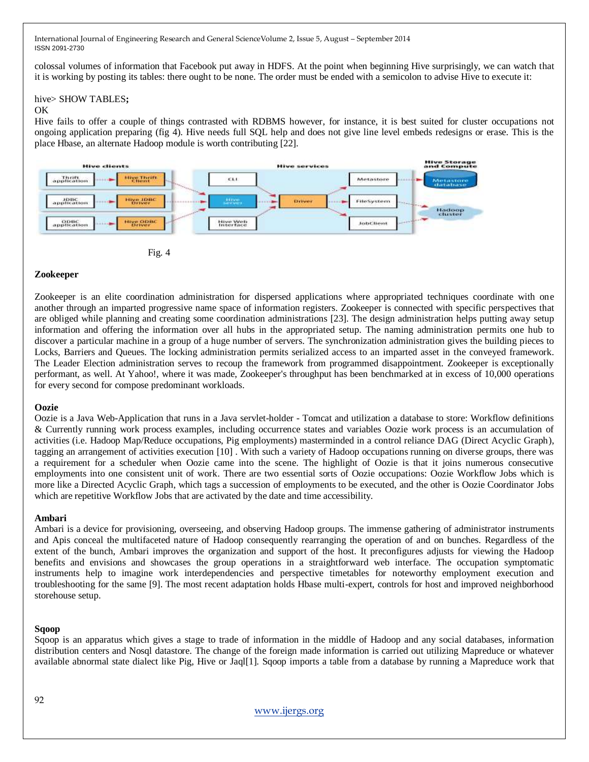colossal volumes of information that Facebook put away in HDFS. At the point when beginning Hive surprisingly, we can watch that it is working by posting its tables: there ought to be none. The order must be ended with a semicolon to advise Hive to execute it:

#### hive> SHOW TABLES**;**

#### OK

Hive fails to offer a couple of things contrasted with RDBMS however, for instance, it is best suited for cluster occupations not ongoing application preparing (fig 4). Hive needs full SQL help and does not give line level embeds redesigns or erase. This is the place Hbase, an alternate Hadoop module is worth contributing [22].



Fig. 4

### **Zookeeper**

Zookeeper is an elite coordination administration for dispersed applications where appropriated techniques coordinate with one another through an imparted progressive name space of information registers. Zookeeper is connected with specific perspectives that are obliged while planning and creating some coordination administrations [23]. The design administration helps putting away setup information and offering the information over all hubs in the appropriated setup. The naming administration permits one hub to discover a particular machine in a group of a huge number of servers. The synchronization administration gives the building pieces to Locks, Barriers and Queues. The locking administration permits serialized access to an imparted asset in the conveyed framework. The Leader Election administration serves to recoup the framework from programmed disappointment. Zookeeper is exceptionally performant, as well. At Yahoo!, where it was made, Zookeeper's throughput has been benchmarked at in excess of 10,000 operations for every second for compose predominant workloads.

### **Oozie**

Oozie is a Java Web-Application that runs in a Java servlet-holder - Tomcat and utilization a database to store: Workflow definitions & Currently running work process examples, including occurrence states and variables Oozie work process is an accumulation of activities (i.e. Hadoop Map/Reduce occupations, Pig employments) masterminded in a control reliance DAG (Direct Acyclic Graph), tagging an arrangement of activities execution [10] . With such a variety of Hadoop occupations running on diverse groups, there was a requirement for a scheduler when Oozie came into the scene. The highlight of Oozie is that it joins numerous consecutive employments into one consistent unit of work. There are two essential sorts of Oozie occupations: Oozie Workflow Jobs which is more like a Directed Acyclic Graph, which tags a succession of employments to be executed, and the other is Oozie Coordinator Jobs which are repetitive Workflow Jobs that are activated by the date and time accessibility.

### **Ambari**

Ambari is a device for provisioning, overseeing, and observing Hadoop groups. The immense gathering of administrator instruments and Apis conceal the multifaceted nature of Hadoop consequently rearranging the operation of and on bunches. Regardless of the extent of the bunch, Ambari improves the organization and support of the host. It preconfigures adjusts for viewing the Hadoop benefits and envisions and showcases the group operations in a straightforward web interface. The occupation symptomatic instruments help to imagine work interdependencies and perspective timetables for noteworthy employment execution and troubleshooting for the same [9]. The most recent adaptation holds Hbase multi-expert, controls for host and improved neighborhood storehouse setup.

#### **Sqoop**

Sqoop is an apparatus which gives a stage to trade of information in the middle of Hadoop and any social databases, information distribution centers and Nosql datastore. The change of the foreign made information is carried out utilizing Mapreduce or whatever available abnormal state dialect like Pig, Hive or Jaql[1]. Sqoop imports a table from a database by running a Mapreduce work that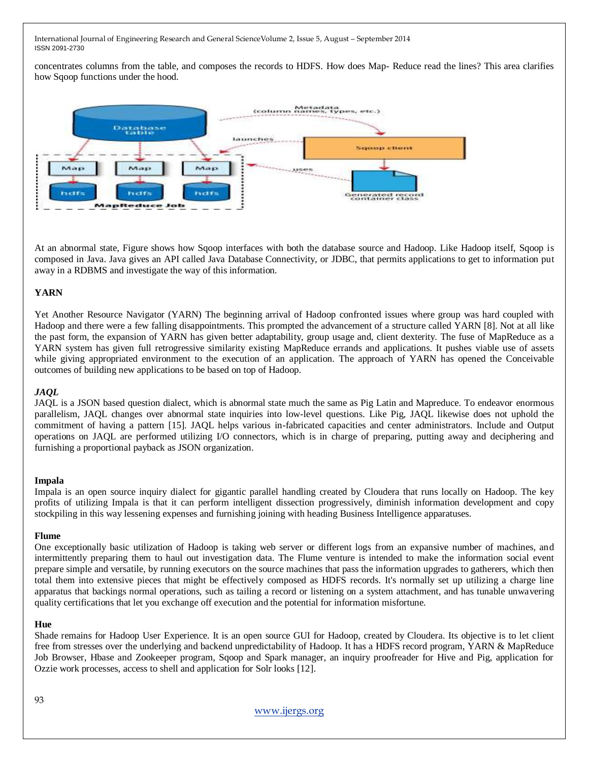concentrates columns from the table, and composes the records to HDFS. How does Map- Reduce read the lines? This area clarifies how Sqoop functions under the hood.



At an abnormal state, Figure shows how Sqoop interfaces with both the database source and Hadoop. Like Hadoop itself, Sqoop is composed in Java. Java gives an API called Java Database Connectivity, or JDBC, that permits applications to get to information put away in a RDBMS and investigate the way of this information.

## **YARN**

Yet Another Resource Navigator (YARN) The beginning arrival of Hadoop confronted issues where group was hard coupled with Hadoop and there were a few falling disappointments. This prompted the advancement of a structure called YARN [8]. Not at all like the past form, the expansion of YARN has given better adaptability, group usage and, client dexterity. The fuse of MapReduce as a YARN system has given full retrogressive similarity existing MapReduce errands and applications. It pushes viable use of assets while giving appropriated environment to the execution of an application. The approach of YARN has opened the Conceivable outcomes of building new applications to be based on top of Hadoop.

### *JAQL*

JAQL is a JSON based question dialect, which is abnormal state much the same as Pig Latin and Mapreduce. To endeavor enormous parallelism, JAQL changes over abnormal state inquiries into low-level questions. Like Pig, JAQL likewise does not uphold the commitment of having a pattern [15]. JAQL helps various in-fabricated capacities and center administrators. Include and Output operations on JAQL are performed utilizing I/O connectors, which is in charge of preparing, putting away and deciphering and furnishing a proportional payback as JSON organization.

### **Impala**

Impala is an open source inquiry dialect for gigantic parallel handling created by Cloudera that runs locally on Hadoop. The key profits of utilizing Impala is that it can perform intelligent dissection progressively, diminish information development and copy stockpiling in this way lessening expenses and furnishing joining with heading Business Intelligence apparatuses.

### **Flume**

One exceptionally basic utilization of Hadoop is taking web server or different logs from an expansive number of machines, and intermittently preparing them to haul out investigation data. The Flume venture is intended to make the information social event prepare simple and versatile, by running executors on the source machines that pass the information upgrades to gatherers, which then total them into extensive pieces that might be effectively composed as HDFS records. It's normally set up utilizing a charge line apparatus that backings normal operations, such as tailing a record or listening on a system attachment, and has tunable unwavering quality certifications that let you exchange off execution and the potential for information misfortune.

### **Hue**

Shade remains for Hadoop User Experience. It is an open source GUI for Hadoop, created by Cloudera. Its objective is to let client free from stresses over the underlying and backend unpredictability of Hadoop. It has a HDFS record program, YARN & MapReduce Job Browser, Hbase and Zookeeper program, Sqoop and Spark manager, an inquiry proofreader for Hive and Pig, application for Ozzie work processes, access to shell and application for Solr looks [12].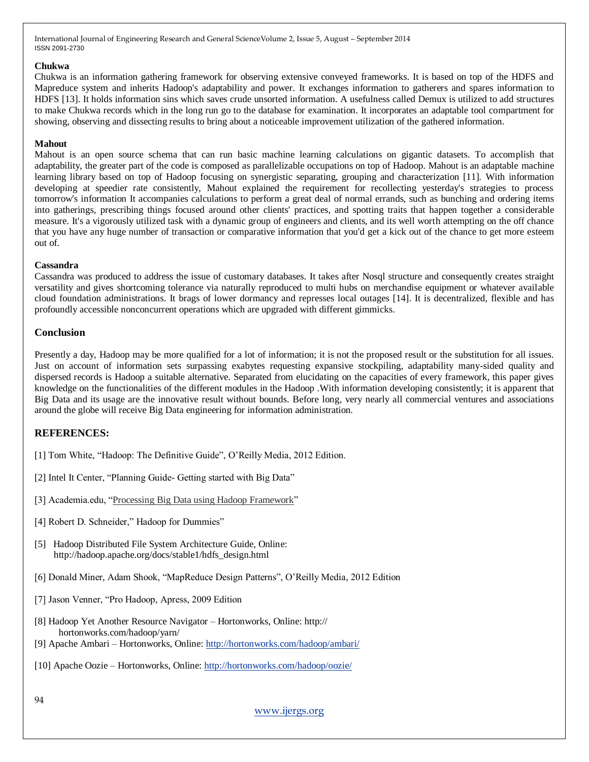### **Chukwa**

Chukwa is an information gathering framework for observing extensive conveyed frameworks. It is based on top of the HDFS and Mapreduce system and inherits Hadoop's adaptability and power. It exchanges information to gatherers and spares information to HDFS [13]. It holds information sins which saves crude unsorted information. A usefulness called Demux is utilized to add structures to make Chukwa records which in the long run go to the database for examination. It incorporates an adaptable tool compartment for showing, observing and dissecting results to bring about a noticeable improvement utilization of the gathered information.

## **Mahout**

Mahout is an open source schema that can run basic machine learning calculations on gigantic datasets. To accomplish that adaptability, the greater part of the code is composed as parallelizable occupations on top of Hadoop. Mahout is an adaptable machine learning library based on top of Hadoop focusing on synergistic separating, grouping and characterization [11]. With information developing at speedier rate consistently, Mahout explained the requirement for recollecting yesterday's strategies to process tomorrow's information It accompanies calculations to perform a great deal of normal errands, such as bunching and ordering items into gatherings, prescribing things focused around other clients' practices, and spotting traits that happen together a considerable measure. It's a vigorously utilized task with a dynamic group of engineers and clients, and its well worth attempting on the off chance that you have any huge number of transaction or comparative information that you'd get a kick out of the chance to get more esteem out of.

### **Cassandra**

Cassandra was produced to address the issue of customary databases. It takes after Nosql structure and consequently creates straight versatility and gives shortcoming tolerance via naturally reproduced to multi hubs on merchandise equipment or whatever available cloud foundation administrations. It brags of lower dormancy and represses local outages [14]. It is decentralized, flexible and has profoundly accessible nonconcurrent operations which are upgraded with different gimmicks.

# **Conclusion**

Presently a day, Hadoop may be more qualified for a lot of information; it is not the proposed result or the substitution for all issues. Just on account of information sets surpassing exabytes requesting expansive stockpiling, adaptability many-sided quality and dispersed records is Hadoop a suitable alternative. Separated from elucidating on the capacities of every framework, this paper gives knowledge on the functionalities of the different modules in the Hadoop .With information developing consistently; it is apparent that Big Data and its usage are the innovative result without bounds. Before long, very nearly all commercial ventures and associations around the globe will receive Big Data engineering for information administration.

# **REFERENCES:**

- [1] Tom White, "Hadoop: The Definitive Guide", O'Reilly Media, 2012 Edition.
- [2] Intel It Center, "Planning Guide- Getting started with Big Data"
- [3] Academia.edu, "Processing Big Data using Hadoop [Framework"](file:///H:\Hadoop%20&%20Big%20Data%20Managment%20Framework\Processing%20Big%20Data%20using%20Hadoop%20Framework%20%20%20Prashant%20Londhe%20-%20Academia.edu_files\Processing%20Big%20Data%20using%20Hadoop%20Framework%20%20%20Prashant%20Londhe%20-%20Academia.edu.htm)
- [4] Robert D. Schneider," Hadoop for Dummies"
- [5] Hadoop Distributed File System Architecture Guide, Online: http://hadoop.apache.org/docs/stable1/hdfs\_design.html
- [6] Donald Miner, Adam Shook, "MapReduce Design Patterns", O'Reilly Media, 2012 Edition
- [7] Jason Venner, "Pro Hadoop, Apress, 2009 Edition
- [8] Hadoop Yet Another Resource Navigator Hortonworks, Online: http:// hortonworks.com/hadoop/yarn/
- [9] Apache Ambari Hortonworks, Online:<http://hortonworks.com/hadoop/ambari/>
- [10] Apache Oozie Hortonworks, Online:<http://hortonworks.com/hadoop/oozie/>

## [www.ijergs.org](http://www.ijergs.org/)